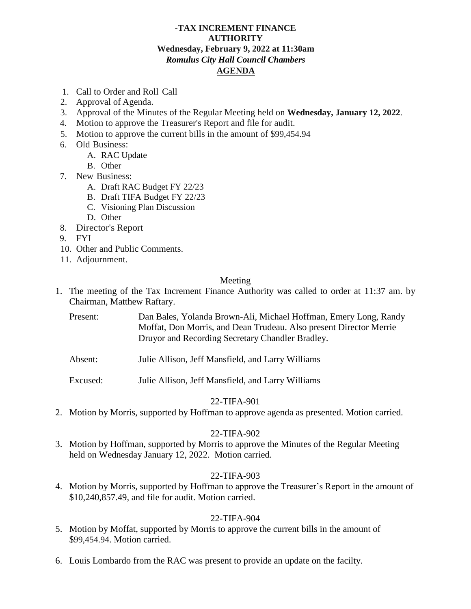### **-TAX INCREMENT FINANCE AUTHORITY Wednesday, February 9, 2022 at 11:30am** *Romulus City Hall Council Chambers* **AGENDA**

- 1. Call to Order and Roll Call
- 2. Approval of Agenda.
- 3. Approval of the Minutes of the Regular Meeting held on **Wednesday, January 12, 2022**.
- 4. Motion to approve the Treasurer's Report and file for audit.
- 5. Motion to approve the current bills in the amount of \$99,454.94
- 6. Old Business:
	- A. RAC Update
	- B. Other
- 7. New Business:
	- A. Draft RAC Budget FY 22/23
	- B. Draft TIFA Budget FY 22/23
	- C. Visioning Plan Discussion
	- D. Other
- 8. Director's Report
- 9. FYI
- 10. Other and Public Comments.
- 11. Adjournment.

### Meeting

- 1. The meeting of the Tax Increment Finance Authority was called to order at 11:37 am. by Chairman, Matthew Raftary.
	- Present: Dan Bales, Yolanda Brown-Ali, Michael Hoffman, Emery Long, Randy Moffat, Don Morris, and Dean Trudeau. Also present Director Merrie Druyor and Recording Secretary Chandler Bradley.
	- Absent: Julie Allison, Jeff Mansfield, and Larry Williams
	- Excused: Julie Allison, Jeff Mansfield, and Larry Williams

# 22-TIFA-901

2. Motion by Morris, supported by Hoffman to approve agenda as presented. Motion carried.

# 22-TIFA-902

3. Motion by Hoffman, supported by Morris to approve the Minutes of the Regular Meeting held on Wednesday January 12, 2022. Motion carried.

# 22-TIFA-903

4. Motion by Morris, supported by Hoffman to approve the Treasurer's Report in the amount of \$10,240,857.49, and file for audit. Motion carried.

# 22-TIFA-904

- 5. Motion by Moffat, supported by Morris to approve the current bills in the amount of \$99,454.94. Motion carried.
- 6. Louis Lombardo from the RAC was present to provide an update on the facilty.